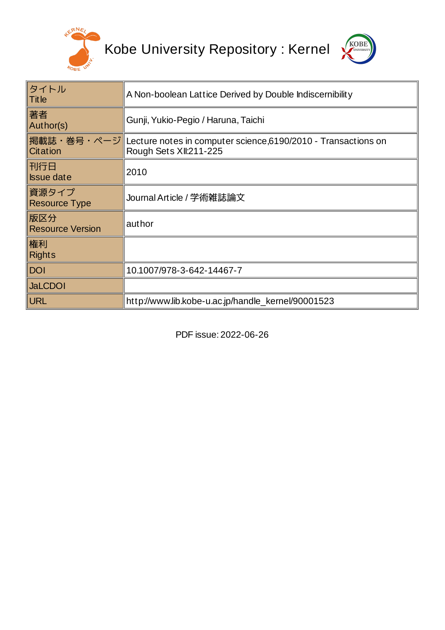

Kobe University Repository : Kernel



| タイトル<br>$ $ Title              | A Non-boolean Lattice Derived by Double Indiscernibility                                           |  |  |
|--------------------------------|----------------------------------------------------------------------------------------------------|--|--|
| 著者<br>Author(s)                | Gunji, Yukio-Pegio / Haruna, Taichi                                                                |  |  |
| Citation                       | 掲載誌・巻号・ページ Lecture notes in computer science,6190/2010 - Transactions on<br>Rough Sets XII:211-225 |  |  |
| 刊行日<br><b>Issue date</b>       | 2010                                                                                               |  |  |
| 資源タイプ<br><b>Resource Type</b>  | Journal Article / 学術雑誌論文                                                                           |  |  |
| 版区分<br><b>Resource Version</b> | author                                                                                             |  |  |
| 権利<br><b>Rights</b>            |                                                                                                    |  |  |
| <b>DOI</b>                     | 10.1007/978-3-642-14467-7                                                                          |  |  |
| <b>JaLCDOI</b>                 |                                                                                                    |  |  |
| <b>URL</b>                     | http://www.lib.kobe-u.ac.jp/handle kernel/90001523                                                 |  |  |

PDF issue: 2022-06-26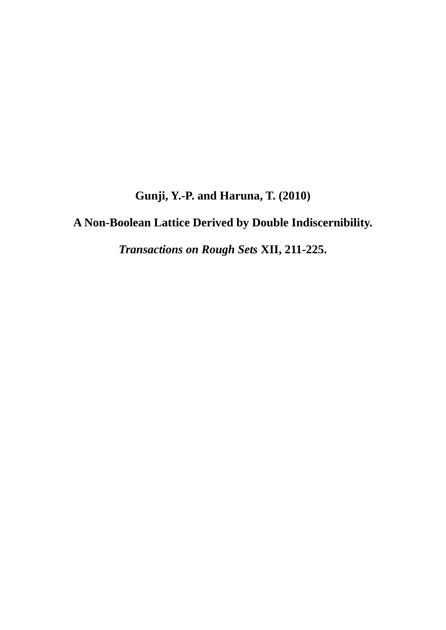**Gunji, Y.-P. and Haruna, T. (2010)** 

**A Non-Boolean Lattice Derived by Double Indiscernibility.** 

*Transactions on Rough Sets* **XII, 211-225.**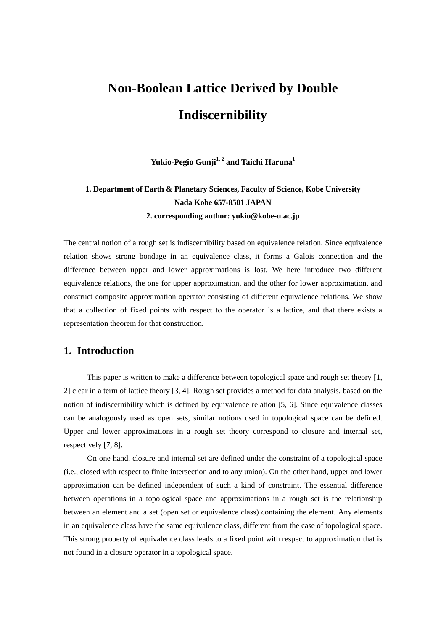# **Non-Boolean Lattice Derived by Double Indiscernibility**

**Yukio-Pegio Gunji<sup>1,2</sup> and Taichi Haruna<sup>1</sup>** 

# **1. Department of Earth & Planetary Sciences, Faculty of Science, Kobe University Nada Kobe 657-8501 JAPAN 2. corresponding author: yukio@kobe-u.ac.jp**

The central notion of a rough set is indiscernibility based on equivalence relation. Since equivalence relation shows strong bondage in an equivalence class, it forms a Galois connection and the difference between upper and lower approximations is lost. We here introduce two different equivalence relations, the one for upper approximation, and the other for lower approximation, and construct composite approximation operator consisting of different equivalence relations. We show that a collection of fixed points with respect to the operator is a lattice, and that there exists a representation theorem for that construction.

# **1. Introduction**

This paper is written to make a difference between topological space and rough set theory [1, 2] clear in a term of lattice theory [3, 4]. Rough set provides a method for data analysis, based on the notion of indiscernibility which is defined by equivalence relation [5, 6]. Since equivalence classes can be analogously used as open sets, similar notions used in topological space can be defined. Upper and lower approximations in a rough set theory correspond to closure and internal set, respectively [7, 8].

On one hand, closure and internal set are defined under the constraint of a topological space (i.e., closed with respect to finite intersection and to any union). On the other hand, upper and lower approximation can be defined independent of such a kind of constraint. The essential difference between operations in a topological space and approximations in a rough set is the relationship between an element and a set (open set or equivalence class) containing the element. Any elements in an equivalence class have the same equivalence class, different from the case of topological space. This strong property of equivalence class leads to a fixed point with respect to approximation that is not found in a closure operator in a topological space.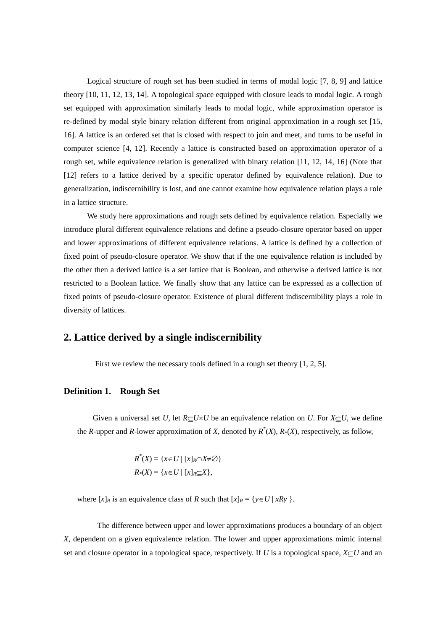Logical structure of rough set has been studied in terms of modal logic [7, 8, 9] and lattice theory [10, 11, 12, 13, 14]. A topological space equipped with closure leads to modal logic. A rough set equipped with approximation similarly leads to modal logic, while approximation operator is re-defined by modal style binary relation different from original approximation in a rough set [15, 16]. A lattice is an ordered set that is closed with respect to join and meet, and turns to be useful in computer science [4, 12]. Recently a lattice is constructed based on approximation operator of a rough set, while equivalence relation is generalized with binary relation [11, 12, 14, 16] (Note that [12] refers to a lattice derived by a specific operator defined by equivalence relation). Due to generalization, indiscernibility is lost, and one cannot examine how equivalence relation plays a role in a lattice structure.

We study here approximations and rough sets defined by equivalence relation. Especially we introduce plural different equivalence relations and define a pseudo-closure operator based on upper and lower approximations of different equivalence relations. A lattice is defined by a collection of fixed point of pseudo-closure operator. We show that if the one equivalence relation is included by the other then a derived lattice is a set lattice that is Boolean, and otherwise a derived lattice is not restricted to a Boolean lattice. We finally show that any lattice can be expressed as a collection of fixed points of pseudo-closure operator. Existence of plural different indiscernibility plays a role in diversity of lattices.

# **2. Lattice derived by a single indiscernibility**

First we review the necessary tools defined in a rough set theory [1, 2, 5].

#### **Definition 1. Rough Set**

Given a universal set *U*, let  $R\subseteq U\times U$  be an equivalence relation on *U*. For  $X\subseteq U$ , we define the *R*-upper and *R*-lower approximation of *X*, denoted by  $R^*(X)$ ,  $R^*(X)$ , respectively, as follow,

> $R^*(X) = \{x \in U \mid [x]_R \cap X \neq \emptyset\}$  $R*(X) = \{x \in U \mid [x]_R \subseteq X\},\$

where  $[x]_R$  is an equivalence class of *R* such that  $[x]_R = \{y \in U \mid xRy\}$ .

The difference between upper and lower approximations produces a boundary of an object *X*, dependent on a given equivalence relation. The lower and upper approximations mimic internal set and closure operator in a topological space, respectively. If *U* is a topological space,  $X \subseteq U$  and an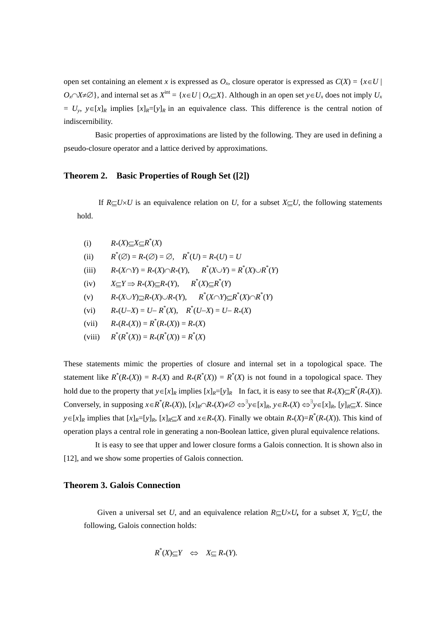open set containing an element *x* is expressed as  $O_x$ , closure operator is expressed as  $C(X) = \{x \in U \mid$  $O_n \cap X \neq \emptyset$ , and internal set as  $X^{\text{int}} = \{x \in U \mid O_x \subset X\}$ . Although in an open set  $y \in U_x$  does not imply  $U_x$  $= U_y$ ,  $y \in [x]_R$  implies  $[x]_R = [y]_R$  in an equivalence class. This difference is the central notion of indiscernibility.

 Basic properties of approximations are listed by the following. They are used in defining a pseudo-closure operator and a lattice derived by approximations.

# **Theorem 2. Basic Properties of Rough Set ([2])**

If  $R\subset U\times U$  is an equivalence relation on *U*, for a subset  $X\subset U$ , the following statements hold.

- (i)  $R*(X) \subseteq X \subseteq R^*(X)$
- $(i)$  $(Q) = R_*(Q) = Q, \quad R^*(U) = R_*(U) = U$
- (iii)  $R_*(X \cap Y) = R_*(X) \cap R_*(Y), \qquad R^*(X \cup Y) = R^*(X) \cup R^*(Y)$
- (iv)  $X \subseteq Y \implies R_*(X) \subseteq R_*(Y)$ ,  $R^*(X) \subseteq R^*(Y)$
- (v)  $R_*(X \cup Y) \supseteq R_*(X) \cup R_*(Y)$ ,  $R^*(X \cap Y) \supseteq R^*(X) \cap R^*(Y)$
- (vi)  $R_*(U-X) = U R^*(X), \quad R^*(U-X) = U R^*(X)$
- (vii)  $R_*(R_*(X)) = R^*(R_*(X)) = R_*(X)$
- (viii) *R*\*  $(R^*(X)) = R^*(R^*(X)) = R^*(X)$

These statements mimic the properties of closure and internal set in a topological space. The statement like  $R^*(R_*(X)) = R_*(X)$  and  $R_*(R^*(X)) = R^*(X)$  is not found in a topological space. They hold due to the property that  $y \in [x]_R$  implies  $[x]_R = [y]_R$  In fact, it is easy to see that  $R_*(X) \subseteq R^*(R_*(X))$ . Conversely, in supposing  $x \in R^*(R_*(X))$ ,  $[x]_R \cap R_*(X) \neq \emptyset \Leftrightarrow^{\exists} y \in [x]_R$ ,  $y \in R_*(X) \Leftrightarrow^{\exists} y \in [x]_R$ ,  $[y]_R \subseteq X$ . Since  $y \in [x]_R$  implies that  $[x]_R = [y]_R$ ,  $[x]_R \subseteq X$  and  $x \in R*(X)$ . Finally we obtain  $R*(X) = R^*(R*(X))$ . This kind of operation plays a central role in generating a non-Boolean lattice, given plural equivalence relations.

 It is easy to see that upper and lower closure forms a Galois connection. It is shown also in [12], and we show some properties of Galois connection.

# **Theorem 3. Galois Connection**

Given a universal set *U*, and an equivalence relation  $R\subset U\times U$ , for a subset *X*,  $Y\subset U$ , the following, Galois connection holds:

$$
R^*(X) \subseteq Y \iff X \subseteq R^*(Y).
$$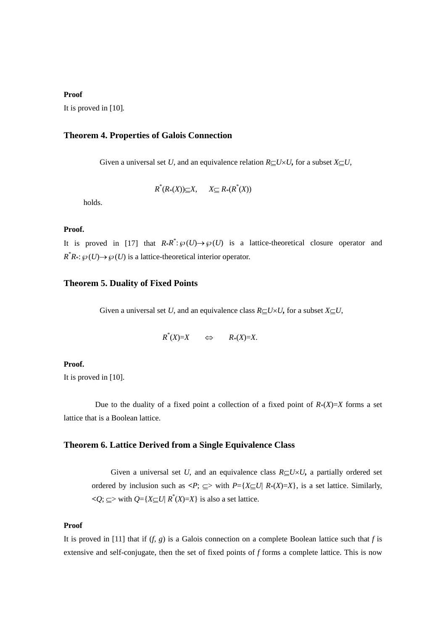#### **Proof**

It is proved in [10]*.*

# **Theorem 4. Properties of Galois Connection**

Given a universal set *U*, and an equivalence relation  $R\subseteq U\times U$ , for a subset  $X\subseteq U$ ,

 $R^*(R^*(X)) \subseteq X$ ,  $X \subseteq R^*(R^*(X))$ 

holds.

# **Proof.**

It is proved in [17] that  $R * R^* : \mathcal{P}(U) \to \mathcal{P}(U)$  is a lattice-theoretical closure operator and  $R^*R_*: \wp(U) \to \wp(U)$  is a lattice-theoretical interior operator.

## **Theorem 5. Duality of Fixed Points**

Given a universal set *U*, and an equivalence class  $R\subseteq U\times U$ , for a subset  $X\subseteq U$ ,

$$
R^*(X)=X \qquad \Leftrightarrow \qquad R*(X)=X.
$$

#### **Proof.**

It is proved in [10].

Due to the duality of a fixed point a collection of a fixed point of  $R*(X)=X$  forms a set lattice that is a Boolean lattice.

#### **Theorem 6. Lattice Derived from a Single Equivalence Class**

Given a universal set *U*, and an equivalence class  $R\subseteq U\times U$ , a partially ordered set ordered by inclusion such as  $\langle P; \subseteq \rangle$  with  $P = \{X \subseteq U | R*(X) = X\}$ , is a set lattice. Similarly,  $\langle Q; \subseteq \rangle$  with  $Q = \{X \subseteq U | R^*(X) = X\}$  is also a set lattice.

# **Proof**

It is proved in [11] that if  $(f, g)$  is a Galois connection on a complete Boolean lattice such that  $f$  is extensive and self-conjugate, then the set of fixed points of *f* forms a complete lattice. This is now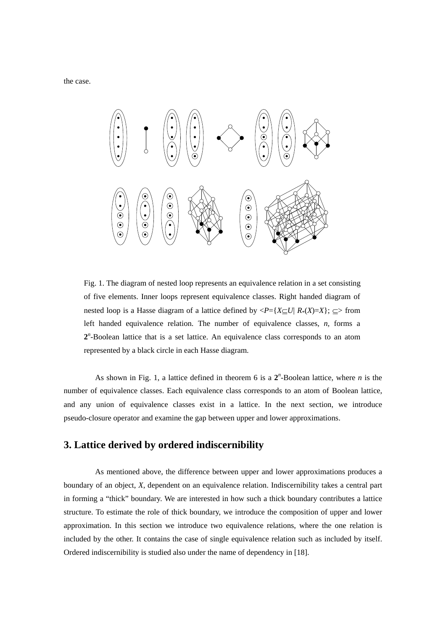the case.



Fig. 1. The diagram of nested loop represents an equivalence relation in a set consisting of five elements. Inner loops represent equivalence classes. Right handed diagram of nested loop is a Hasse diagram of a lattice defined by  $\langle P = \{X \subset U | R*(X) = X\}$ ;  $\subset$  from left handed equivalence relation. The number of equivalence classes, *n,* forms a **2***n* -Boolean lattice that is a set lattice. An equivalence class corresponds to an atom represented by a black circle in each Hasse diagram.

As shown in Fig. 1, a lattice defined in theorem 6 is a  $2^n$ -Boolean lattice, where *n* is the number of equivalence classes. Each equivalence class corresponds to an atom of Boolean lattice, and any union of equivalence classes exist in a lattice. In the next section, we introduce pseudo-closure operator and examine the gap between upper and lower approximations.

# **3. Lattice derived by ordered indiscernibility**

 As mentioned above, the difference between upper and lower approximations produces a boundary of an object, *X*, dependent on an equivalence relation. Indiscernibility takes a central part in forming a "thick" boundary. We are interested in how such a thick boundary contributes a lattice structure. To estimate the role of thick boundary, we introduce the composition of upper and lower approximation. In this section we introduce two equivalence relations, where the one relation is included by the other. It contains the case of single equivalence relation such as included by itself. Ordered indiscernibility is studied also under the name of dependency in [18].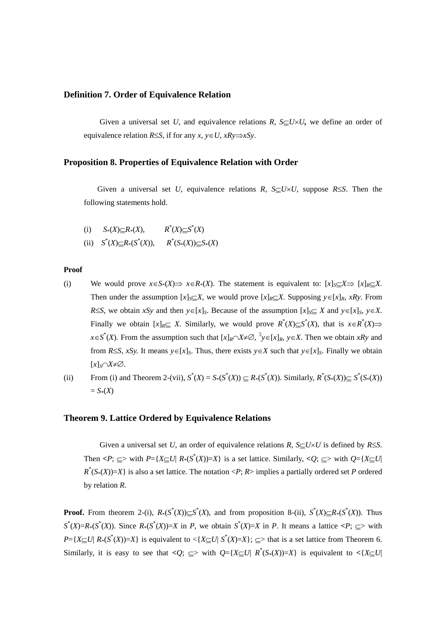## **Definition 7. Order of Equivalence Relation**

Given a universal set U, and equivalence relations R,  $S\subset U\times U$ , we define an order of equivalence relation  $R \leq S$ , if for any *x*,  $y \in U$ ,  $xRy \Rightarrow xSy$ .

# **Proposition 8. Properties of Equivalence Relation with Order**

Given a universal set *U*, equivalence relations *R*,  $S\subseteq U\times U$ , suppose *R*<sup> $\leq$ </sup>S. Then the following statements hold.

(i) 
$$
S_*(X) \subseteq R_*(X)
$$
,  $R^*(X) \subseteq S^*(X)$ 

(ii)  $S^*(X) \subseteq R^*(S^*(X)),$   $R^*(S^*(X)) \subseteq S^*(X)$ 

#### **Proof**

- (i) We would prove  $x \in S^*(X) \Rightarrow x \in R^*(X)$ . The statement is equivalent to:  $[x]_S \subset X \Rightarrow [x]_R \subset X$ . Then under the assumption  $[x]_S \subseteq X$ , we would prove  $[x]_R \subseteq X$ . Supposing  $y \in [x]_R$ , *xRy*. From *RS*, we obtain *xSy* and then  $y \in [x]_S$ . Because of the assumption  $[x]_S \subseteq X$  and  $y \in [x]_S$ ,  $y \in X$ . Finally we obtain  $[x]_R \subseteq X$ . Similarly, we would prove  $R^*(X) \subseteq S^*(X)$ , that is  $x \in R^*(X) \implies$  $x \in S^*(X)$ . From the assumption such that  $[x]_R \cap X \neq \emptyset$ ,  $\exists y \in [x]_R$ ,  $y \in X$ . Then we obtain *xRy* and from *RSS, xSy.* It means  $y \in [x]_S$ . Thus, there exists  $y \in X$  such that  $y \in [x]_S$ . Finally we obtain  $[x]_S \cap X \neq \emptyset$ .
- (ii) From (i) and Theorem 2-(vii),  $S^*(X) = S_*(S^*(X)) \subseteq R_*(S^*(X))$ . Similarly,  $R^*(S_*(X)) \subseteq S^*(S_*(X))$  $= S_*(X)$

## **Theorem 9. Lattice Ordered by Equivalence Relations**

Given a universal set *U*, an order of equivalence relations *R*,  $S\subseteq U\times U$  is defined by *R* $\leq$ *S*. Then  $\langle P; \subseteq \rangle$  with  $P = \{X \subseteq U | R*(S^*(X)) = X\}$  is a set lattice. Similarly,  $\langle Q; \subseteq \rangle$  with  $Q = \{X \subseteq U | R*(S^*(X)) = X\}$  $R^*(S_*(X))=X$  is also a set lattice. The notation <*P*; *R*> implies a partially ordered set *P* ordered by relation *R*.

**Proof.** From theorem 2-(i),  $R_*(S^*(X)) \subseteq S^*(X)$ , and from proposition 8-(ii),  $S^*(X) \subseteq R_*(S^*(X))$ . Thus  $S^{*}(X)=R^{*}(S^{*}(X))$ . Since  $R^{*}(S^{*}(X))=X$  in *P*, we obtain  $S^{*}(X)=X$  in *P*. It means a lattice  $\langle P; \subseteq \rangle$  with  $P = \{X \subseteq U | R_*(S^*(X)) = X\}$  is equivalent to  $\langle X \subseteq U | S^*(X) = X\}$ ;  $\subseteq$  that is a set lattice from Theorem 6. Similarly, it is easy to see that  $\langle Q; \subseteq \rangle$  with  $Q = \{X \subseteq U | R^*(S_*(X)) = X\}$  is equivalent to  $\langle X \subseteq U |$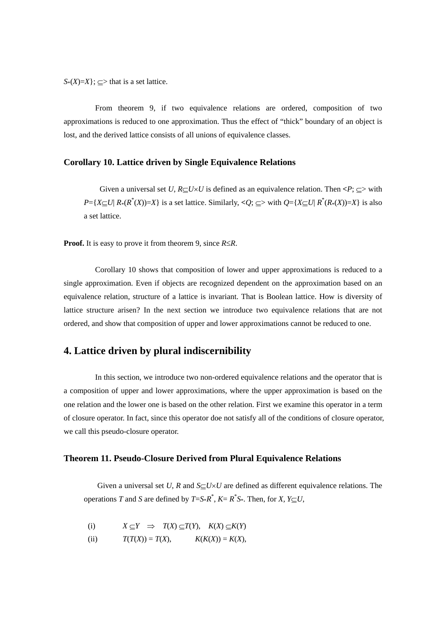$S*(X)=X$ ;  $\subset$  that is a set lattice.

 From theorem 9, if two equivalence relations are ordered, composition of two approximations is reduced to one approximation. Thus the effect of "thick" boundary of an object is lost, and the derived lattice consists of all unions of equivalence classes.

# **Corollary 10. Lattice driven by Single Equivalence Relations**

Given a universal set *U*,  $R\subseteq U\times U$  is defined as an equivalence relation. Then  $\langle P; \subseteq \rangle$  with  $P = \{ X \subseteq U | R_*(R^*(X)) = X \}$  is a set lattice. Similarly,  $Q$ ;  $\subseteq$  with  $Q = \{ X \subseteq U | R^*(R_*(X)) = X \}$  is also a set lattice.

**Proof.** It is easy to prove it from theorem 9, since  $R \le R$ .

 Corollary 10 shows that composition of lower and upper approximations is reduced to a single approximation. Even if objects are recognized dependent on the approximation based on an equivalence relation, structure of a lattice is invariant. That is Boolean lattice. How is diversity of lattice structure arisen? In the next section we introduce two equivalence relations that are not ordered, and show that composition of upper and lower approximations cannot be reduced to one.

# **4. Lattice driven by plural indiscernibility**

 In this section, we introduce two non-ordered equivalence relations and the operator that is a composition of upper and lower approximations, where the upper approximation is based on the one relation and the lower one is based on the other relation. First we examine this operator in a term of closure operator. In fact, since this operator doe not satisfy all of the conditions of closure operator, we call this pseudo-closure operator.

#### **Theorem 11. Pseudo-Closure Derived from Plural Equivalence Relations**

Given a universal set *U*, *R* and  $S\subseteq U\times U$  are defined as different equivalence relations. The operations *T* and *S* are defined by  $T=S^*R^*$ ,  $K=R^*S^*$ . Then, for *X*,  $Y\subseteq U$ ,

(i) 
$$
X \subseteq Y \implies T(X) \subseteq T(Y), \quad K(X) \subseteq K(Y)
$$

(ii)  $T(T(X)) = T(X),$   $K(K(X)) = K(X),$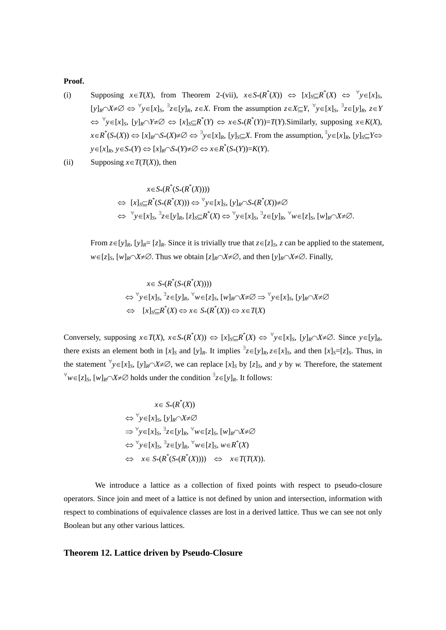# **Proof.**

- (i) Supposing  $x \in T(X)$ , from Theorem 2-(vii),  $x \in S^*(R^*(X)) \iff [x]_S \subseteq R^*(X) \iff \forall y \in [x]_S$ ,  $[y]_R \cap X \neq \emptyset \Leftrightarrow \forall y \in [x]_S, \exists z \in [y]_R, z \in X$ . From the assumption  $z \in X \subseteq Y$ ,  $\forall y \in [x]_S, \exists z \in [y]_R, z \in Y$  $\iff$   $\forall y \in [x]_S$ ,  $[y]_R \cap Y \neq \emptyset \iff [x]_S \subseteq R^*(Y) \iff x \in S_*(R^*(Y)) = T(Y)$ . Similarly, supposing  $x \in K(X)$ , *xR*\* (*S*\*(*X*)) [*x*]*RS*\*(*X*) *y*[*x*]*R*, [*y*]*SX*. From the assumption, *y*[*x*]*R*, [*y*]*SY*  $y \in [x]_R$ ,  $y \in S_*(Y) \Leftrightarrow [x]_R \cap S_*(Y) \neq \emptyset \Leftrightarrow x \in R^*(S_*(Y)) = K(Y).$
- (ii) Supposing  $x \in T(T(X))$ , then

$$
x \in S_*(R^*(S_*(R^*(X))))
$$
  
\n
$$
\Leftrightarrow [x]_S \subseteq R^*(S_*(R^*(X))) \Leftrightarrow \forall y \in [x]_S, [y]_R \cap S_*(R^*(X)) \neq \emptyset
$$
  
\n
$$
\Leftrightarrow \forall y \in [x]_S, \exists z \in [y]_R, [z]_S \subseteq R^*(X) \Leftrightarrow \forall y \in [x]_S, \exists z \in [y]_R, \forall w \in [z]_S, [w]_R \cap X \neq \emptyset.
$$

From  $z \in [y]_R$ ,  $[y]_R = [z]_R$ . Since it is trivially true that  $z \in [z]_S$ , *z* can be applied to the statement,  $w \in [z]_S$ ,  $[w]_R \cap X \neq \emptyset$ . Thus we obtain  $[z]_R \cap X \neq \emptyset$ , and then  $[y]_R \cap X \neq \emptyset$ . Finally,

$$
x \in S_*(R^*(S_*(R^*(X))))
$$
  
\n
$$
\Leftrightarrow \forall y \in [x]_S, \exists z \in [y]_R, \forall w \in [z]_S, [w]_R \cap X \neq \emptyset \Rightarrow \forall y \in [x]_S, [y]_R \cap X \neq \emptyset
$$
  
\n
$$
\Leftrightarrow [x]_S \subseteq R^*(X) \Leftrightarrow x \in S_*(R^*(X)) \Leftrightarrow x \in T(X)
$$

Conversely, supposing  $x \in T(X)$ ,  $x \in S_*(R^*(X)) \iff [x]_S \subseteq R^*(X) \iff \forall y \in [x]_S$ ,  $[y]_R \cap X \neq \emptyset$ . Since  $y \in [y]_R$ , there exists an element both in  $[x]_S$  and  $[y]_R$ . It implies  $\overline{z} \in [y]_R$ ,  $z \in [x]_S$ , and then  $[x]_S=[z]_S$ . Thus, in the statement  $\forall y \in [x]_S$ ,  $[y]_R \cap X \neq \emptyset$ , we can replace  $[x]_S$  by  $[z]_S$ , and *y* by *w*. Therefore, the statement  $\forall w \in [z]_S$ ,  $[w]_R \cap X \neq \emptyset$  holds under the condition  $\exists z \in [y]_R$ . It follows:

$$
x \in S_*(R^*(X))
$$
  
\n
$$
\Leftrightarrow \forall y \in [x]_S, [y]_R \cap X \neq \emptyset
$$
  
\n
$$
\Rightarrow \forall y \in [x]_S, \exists z \in [y]_R, \forall w \in [z]_S, [w]_R \cap X \neq \emptyset
$$
  
\n
$$
\Leftrightarrow \forall y \in [x]_S, \exists z \in [y]_R, \forall w \in [z]_S, w \in R^*(X)
$$
  
\n
$$
\Leftrightarrow x \in S_*(R^*(S_*(R^*(X)))) \Leftrightarrow x \in T(T(X)).
$$

 We introduce a lattice as a collection of fixed points with respect to pseudo-closure operators. Since join and meet of a lattice is not defined by union and intersection, information with respect to combinations of equivalence classes are lost in a derived lattice. Thus we can see not only Boolean but any other various lattices.

# **Theorem 12. Lattice driven by Pseudo-Closure**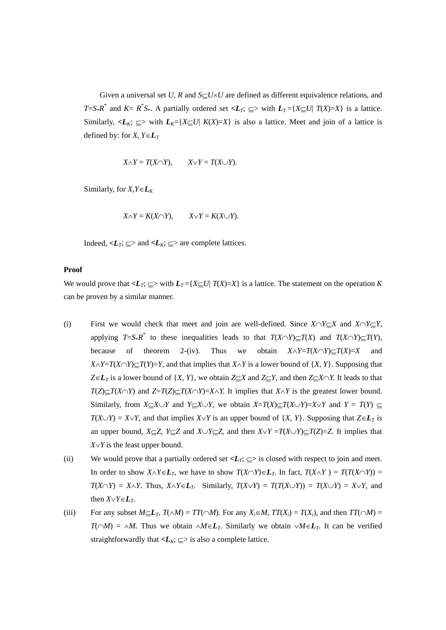Given a universal set *U*, *R* and  $S\subset U\times U$  are defined as different equivalence relations, and *T*=*S*\**R*<sup>\*</sup> and *K*= *R*<sup>\*</sup>*S*\*. A partially ordered set <*L<sub>T</sub>*;  $\subseteq$ > with *L<sub>T</sub>* ={*X* $\subseteq$ *U*| *T*(*X*)=*X*} is a lattice. Similarly,  $\langle L_K, \subseteq \rangle$  with  $L_K = \{X \subseteq U \mid K(X) = X\}$  is also a lattice. Meet and join of a lattice is defined by: for *X*,  $Y \in L_T$ 

$$
X \wedge Y = T(X \cap Y), \qquad X \vee Y = T(X \cup Y).
$$

Similarly, for  $X, Y \in L_K$ 

$$
X \wedge Y = K(X \cap Y), \qquad X \vee Y = K(X \cup Y).
$$

Indeed,  $\langle L_T, \subseteq \rangle$  and  $\langle L_K, \subseteq \rangle$  are complete lattices.

#### **Proof**

We would prove that  $\langle L_T, \subseteq \rangle$  with  $L_T = \{X \subseteq U | T(X) = X\}$  is a lattice. The statement on the operation *K* can be proven by a similar manner.

- (i) First we would check that meet and join are well-defined. Since  $X \cap Y \subset X$  and  $X \cap Y \subset Y$ , applying  $T=S^*R^*$  to these inequalities leads to that  $T(X\cap Y)\subseteq T(X)$  and  $T(X\cap Y)\subseteq T(Y)$ , because of theorem 2-(iv). Thus we obtain  $X \wedge Y = T(X \wedge Y) \subset T(X) = X$  and  $X \wedge Y = T(X \cap Y) = T(Y) = Y$ , and that implies that  $X \wedge Y$  is a lower bound of  $\{X, Y\}$ . Supposing that  $Z \in L_T$  is a lower bound of  $\{X, Y\}$ , we obtain  $Z \subseteq X$  and  $Z \subseteq Y$ , and then  $Z \subseteq X \cap Y$ . It leads to that  $T(Z) \subseteq T(X \cap Y)$  and  $Z = T(Z) \subseteq T(X \cap Y) = X \cap Y$ . It implies that  $X \cap Y$  is the greatest lower bound. Similarly, from  $X \subseteq X \cup Y$  and  $Y \subseteq X \cup Y$ , we obtain  $X = T(X) \subseteq T(X \cup Y) = X \vee Y$  and  $Y = T(Y) \subseteq Y$  $T(X \cup Y) = X \cup Y$ , and that implies  $X \cup Y$  is an upper bound of  $\{X, Y\}$ . Supposing that  $Z \in L_T$  is an upper bound,  $X \subseteq Z$ ,  $Y \subseteq Z$  and  $X \cup Y \subseteq Z$ , and then  $X \vee Y = T(X \cup Y) \subseteq T(Z) = Z$ . It implies that  $X \vee Y$  is the least upper bound.
- (ii) We would prove that a partially ordered set  $\langle L_T, \subseteq \rangle$  is closed with respect to join and meet. In order to show  $X \wedge Y \in L_T$ , we have to show  $T(X \cap Y) \in L_T$ . In fact,  $T(X \wedge Y) = T(T(X \cap Y)) =$  $T(X \cap Y) = X \cap Y$ . Thus,  $X \cap Y \in L_T$ . Similarly,  $T(X \vee Y) = T(T(X \cup Y)) = T(X \cup Y) = X \vee Y$ , and then  $X \vee Y \in L_T$ .
- (iii) For any subset  $M \subset L_T$ ,  $T(\wedge M) = TT(\wedge M)$ . For any  $X_i \in M$ ,  $TT(X_i) = T(X_i)$ , and then  $TT(\wedge M) = T(X_i)$  $T(\bigcap M) = \bigcap M$ . Thus we obtain  $\bigcap M \in L_T$ . Similarly we obtain  $\bigcap M \in L_T$ . It can be verified straightforwardly that  $\langle L_K \rangle \subseteq \rangle$  is also a complete lattice.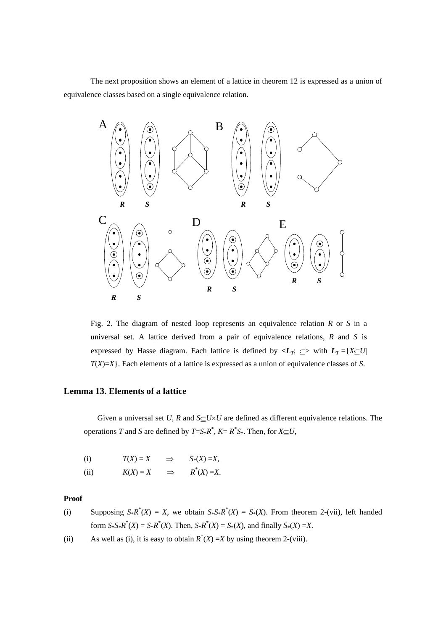The next proposition shows an element of a lattice in theorem 12 is expressed as a union of equivalence classes based on a single equivalence relation.



Fig. 2. The diagram of nested loop represents an equivalence relation *R* or *S* in a universal set. A lattice derived from a pair of equivalence relations, *R* and *S* is expressed by Hasse diagram. Each lattice is defined by  $\langle L_T, \subseteq \rangle$  with  $L_T = \{X \subseteq U |$ *T*(*X*)=*X*}. Each elements of a lattice is expressed as a union of equivalence classes of *S*.

# **Lemma 13. Elements of a lattice**

Given a universal set *U*, *R* and  $S\subseteq U\times U$  are defined as different equivalence relations. The operations *T* and *S* are defined by  $T=S^*R^*$ ,  $K=R^*S^*$ . Then, for  $X\subseteq U$ ,

| (i)  | $T(X)=X$   | ⇒             | $S_*(X) = X$   |
|------|------------|---------------|----------------|
| (ii) | $K(X) = X$ | $\Rightarrow$ | $R^*(X) = X$ . |

# **Proof**

- (i) Supposing  $S^*R^*(X) = X$ , we obtain  $S^*S^*R^*(X) = S^*(X)$ . From theorem 2-(vii), left handed form  $S^*S^*R^*(X) = S^*R^*(X)$ . Then,  $S^*R^*(X) = S^*(X)$ , and finally  $S^*(X) = X$ .
- (ii) As well as (i), it is easy to obtain  $R^*(X) = X$  by using theorem 2-(viii).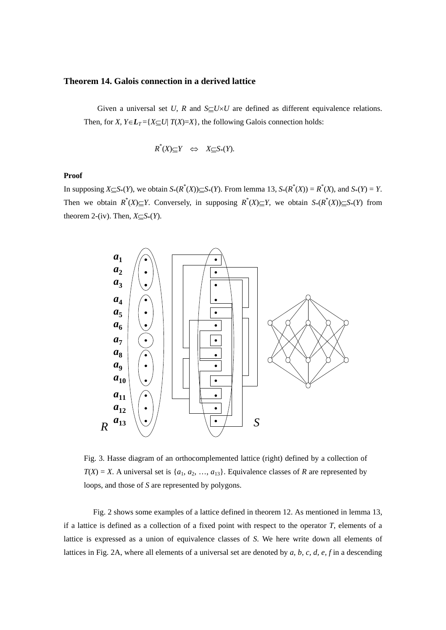## **Theorem 14. Galois connection in a derived lattice**

Given a universal set *U*, *R* and  $S\subseteq U\times U$  are defined as different equivalence relations. Then, for *X*,  $Y \in L_T = \{X \subseteq U | T(X) = X\}$ , the following Galois connection holds:

$$
R^*(X) \subseteq Y \iff X \subseteq S^*(Y).
$$

# **Proof**

In supposing  $X \subseteq S^*(Y)$ , we obtain  $S^*(R^*(X)) \subseteq S^*(Y)$ . From lemma 13,  $S^*(R^*(X)) = R^*(X)$ , and  $S^*(Y) = Y$ . Then we obtain  $R^*(X) \subseteq Y$ . Conversely, in supposing  $R^*(X) \subseteq Y$ , we obtain  $S^*(R^*(X)) \subseteq S^*(Y)$  from theorem 2-(iv). Then,  $X \subseteq S^*(Y)$ .



Fig. 3. Hasse diagram of an orthocomplemented lattice (right) defined by a collection of  $T(X) = X$ . A universal set is  $\{a_1, a_2, \ldots, a_{13}\}$ . Equivalence classes of *R* are represented by loops, and those of *S* are represented by polygons.

 Fig. 2 shows some examples of a lattice defined in theorem 12. As mentioned in lemma 13, if a lattice is defined as a collection of a fixed point with respect to the operator *T*, elements of a lattice is expressed as a union of equivalence classes of *S*. We here write down all elements of lattices in Fig. 2A, where all elements of a universal set are denoted by *a, b, c, d, e, f* in a descending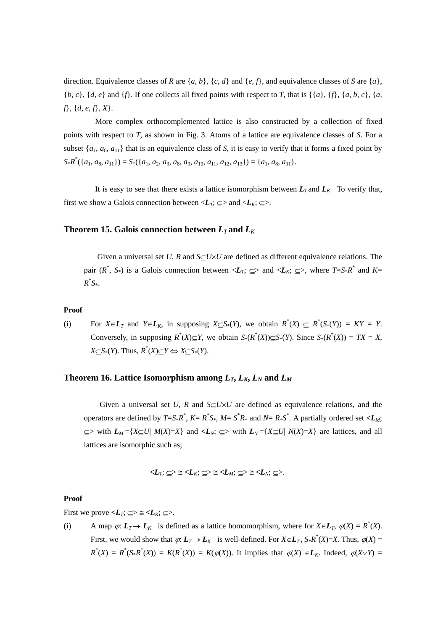direction. Equivalence classes of *R* are  $\{a, b\}$ ,  $\{c, d\}$  and  $\{e, f\}$ , and equivalence classes of *S* are  $\{a\}$ , {*b, c*}, {*d, e*} and {*f*}. If one collects all fixed points with respect to *T*, that is {{*a*}, {*f*}, {*a, b, c*}, {*a, f*}, {*d, e, f*}, *X*}.

 More complex orthocomplemented lattice is also constructed by a collection of fixed points with respect to *T*, as shown in Fig. 3. Atoms of a lattice are equivalence classes of *S*. For a subset  $\{a_1, a_8, a_{11}\}\$  that is an equivalence class of *S*, it is easy to verify that it forms a fixed point by  $S_*R^*(\{a_1, a_8, a_{11}\}) = S_*(\{a_1, a_2, a_3, a_8, a_9, a_{10}, a_{11}, a_{12}, a_{13}\}) = \{a_1, a_8, a_{11}\}.$ 

It is easy to see that there exists a lattice isomorphism between  $L_T$  and  $L_K$  To verify that, first we show a Galois connection between  $\langle L_T, \subseteq \rangle$  and  $\langle L_K, \subseteq \rangle$ .

## **Theorem 15. Galois connection between**  $L_T$  **and**  $L_K$

Given a universal set *U*, *R* and  $S_U \times U$  are defined as different equivalence relations. The pair  $(R^*, S^*)$  is a Galois connection between  $\langle L_T; \subseteq \rangle$  and  $\langle L_K; \subseteq \rangle$ , where  $T = S^*R^*$  and  $K =$ *R*\* *S*\*.

#### **Proof**

(i) For  $X \in L_T$  and  $Y \in L_K$ , in supposing  $X \subseteq S^*(Y)$ , we obtain  $R^*(X) \subseteq R^*(S^*(Y)) = KY = Y$ . Conversely, in supposing  $R^*(X) \subseteq Y$ , we obtain  $S^*(R^*(X)) \subseteq S^*(Y)$ . Since  $S^*(R^*(X)) = TX = X$ ,  $X \subseteq S^*(Y)$ . Thus,  $R^*(X) \subseteq Y \Leftrightarrow X \subseteq S^*(Y)$ .

#### **Theorem 16. Lattice Isomorphism among**  $L_T$ **,**  $L_K$ **,**  $L_N$  **and**  $L_M$

Given a universal set *U*, *R* and  $S\subseteq U\times U$  are defined as equivalence relations, and the operators are defined by  $T=S^*R^*$ ,  $K = R^*S^*$ ,  $M = S^*R^*$  and  $N = R^*S^*$ . A partially ordered set  $\langle L_M;$  $\subseteq$  with  $L_M = \{X \subseteq U | M(X) = X\}$  and  $\le L_N$ ;  $\subseteq$  with  $L_N = \{X \subseteq U | N(X) = X\}$  are lattices, and all lattices are isomorphic such as;

$$
\langle L_T;\,\subseteq\rangle\cong\langle L_K;\,\subseteq\rangle\cong\langle L_M;\,\subseteq\rangle\cong\langle L_N;\,\subseteq\rangle.
$$

#### **Proof**

First we prove  $\leq L_T$ ;  $\subseteq \geq \leq \leq L_K$ ;  $\subseteq \geq$ .

(i) A map  $\varphi: L_T \to L_K$  is defined as a lattice homomorphism, where for  $X \in L_T$ ,  $\varphi(X) = R^*(X)$ . First, we would show that  $\varphi: L_T \to L_K$  is well-defined. For  $X \in L_T$ ,  $S^*R^*(X) = X$ . Thus,  $\varphi(X) = X$  $R^*(X) = R^*(S^*R^*(X)) = K(R^*(X)) = K(\varphi(X))$ . It implies that  $\varphi(X) \in L_K$ . Indeed,  $\varphi(X \vee Y) =$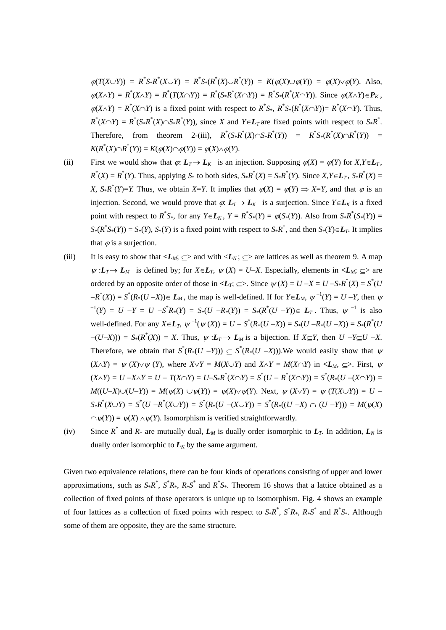$\varphi(T(X \cup Y)) = R^* S * R^*(X \cup Y) = R^* S * (R^*(X) \cup R^*(Y)) = K(\varphi(X) \cup \varphi(Y)) = \varphi(X) \vee \varphi(Y)$ . Also,  $\varphi(X\wedge Y) = R^*(X\wedge Y) = R^*(T(X\cap Y)) = R^*(S^*R^*(X\cap Y)) = R^*S^*(R^*(X\cap Y)).$  Since  $\varphi(X\wedge Y) \in P_K$ ,  $\varphi(X \wedge Y) = R^*(X \cap Y)$  is a fixed point with respect to  $R^*S^*$ ,  $R^*S^*(R^*(X \cap Y)) = R^*(X \cap Y)$ . Thus,  $R^*(X \cap Y) = R^*(S^*R^*(X) \cap S^*R^*(Y))$ , since *X* and  $Y \in L_T$  are fixed points with respect to  $S^*R^*$ . Therefore, from theorem 2-(iii),  $R^*(S^*R^*(X) \cap S^*R^*(Y)) = R^*S^*(R^*(X) \cap R^*(Y)) =$  $K(R^*(X) \cap R^*(Y)) = K(\varphi(X) \cap \varphi(Y)) = \varphi(X) \wedge \varphi(Y).$ 

- (ii) First we would show that  $\varphi$ .  $L_T \to L_K$  is an injection. Supposing  $\varphi(X) = \varphi(Y)$  for  $X, Y \in L_T$ ,  $R^*(X) = R^*(Y)$ . Thus, applying  $S^*$  to both sides,  $S^*R^*(X) = S^*R^*(Y)$ . Since  $X, Y \in L_T$ ,  $S^*R^*(X) =$ *X,*  $S \ast R^*(Y) = Y$ . Thus, we obtain *X*=*Y*. It implies that  $\varphi(X) = \varphi(Y) \Rightarrow X = Y$ , and that  $\varphi$  is an injection. Second, we would prove that  $\varphi$ .  $L_T \rightarrow L_K$  is a surjection. Since  $Y \in L_K$  is a fixed point with respect to  $R^*S_*$ , for any  $Y \in L_K$ ,  $Y = R^*S_*(Y) = \varphi(S_*(Y))$ . Also from  $S_*R^*(S_*(Y)) =$  $S*(R^*S*(Y)) = S*(Y)$ ,  $S*(Y)$  is a fixed point with respect to  $S*K^*$ , and then  $S*(Y) \in L_T$ . It implies that  $\varphi$  is a surjection.
- (iii) It is easy to show that  $\langle L_M; \subseteq \rangle$  and with  $\langle L_N; \subseteq \rangle$  are lattices as well as theorem 9. A map  $\psi$  : $L_T \rightarrow L_M$  is defined by; for  $X \in L_T$ ,  $\psi(X) = U - X$ . Especially, elements in  $\langle L_M : \square \rangle$  are ordered by an opposite order of those in  $\langle L_T, \subseteq \rangle$ . Since  $\psi(X) = U - X = U - S \cdot R^*(X) = S^*(U)$  $-R^*(X) = S^*(R_*(U - X)) \in L_M$ , the map is well-defined. If for  $Y \in L_M$ ,  $\psi^{-1}(Y) = U - Y$ , then  $\psi$  $J^{-1}(Y) = U - Y = U - S^* R_*(Y) = S_*(U - R_*(Y)) = S_*(R^*(U - Y)) \in L_T$ . Thus,  $\psi^{-1}$  is also well-defined. For any  $X \in L_T$ ,  $\psi^{-1}(\psi(X)) = U - S^*(R_*(U - X)) = S_*(U - R_*(U - X)) = S_*(R^*(U - X))$  $-(U-X))$ ) =  $S^*(R^*(X)) = X$ . Thus,  $\psi: L_T \to L_M$  is a bijection. If  $X \subseteq Y$ , then  $U - Y \subseteq U -X$ . Therefore, we obtain that  $S^*(R_*(U - Y)) \subseteq S^*(R_*(U - X))$ . We would easily show that  $\psi$  $(X \wedge Y) = \psi(X) \vee \psi(Y)$ , where  $X \vee Y = M(X \vee Y)$  and  $X \wedge Y = M(X \cap Y)$  in  $\langle L_M, \subseteq \rangle$ . First,  $\psi$  $(X \wedge Y) = U - X \wedge Y = U - T(X \cap Y) = U - S * R^*(X \cap Y) = S^*(U - R^*(X \cap Y)) = S^*(R * (U - (X \cap Y)) =$  $M((U-X)\cup(U-Y)) = M(\psi(X) \cup \psi(Y)) = \psi(X)\vee \psi(Y)$ . Next,  $\psi(X\vee Y) = \psi(T(X\cup Y)) = U S_*R^*(X \cup Y) = S^*(U - R^*(X \cup Y)) = S^*(R_*(U - (X \cup Y)) = S^*(R*((U - X) \cap (U - Y))) = M(\psi(X))$  $\cap \psi(Y) = \psi(X) \wedge \psi(Y)$ . Isomorphism is verified straightforwardly.
- (iv) Since  $R^*$  and  $R^*$  are mutually dual,  $L_M$  is dually order isomorphic to  $L_T$ . In addition,  $L_N$  is dually order isomorphic to  $L_K$  by the same argument.

Given two equivalence relations, there can be four kinds of operations consisting of upper and lower approximations, such as  $S^*R^*$ ,  $S^*R^*$ ,  $R^*S^*$  and  $R^*S^*$ . Theorem 16 shows that a lattice obtained as a collection of fixed points of those operators is unique up to isomorphism. Fig. 4 shows an example of four lattices as a collection of fixed points with respect to  $S^*R^*$ ,  $S^*R^*$ ,  $R^*S^*$  and  $R^*S^*$ . Although some of them are opposite, they are the same structure.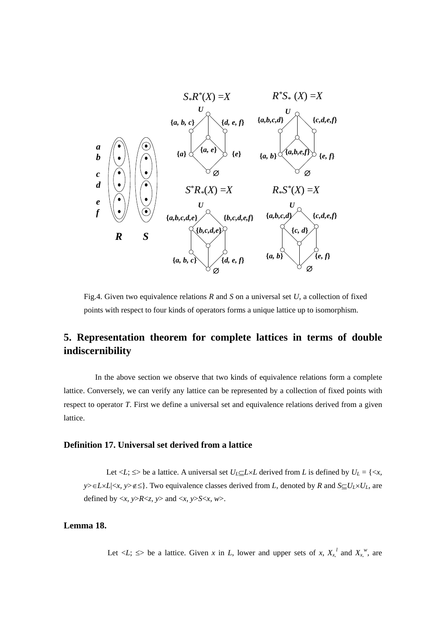

Fig.4. Given two equivalence relations *R* and *S* on a universal set *U*, a collection of fixed points with respect to four kinds of operators forms a unique lattice up to isomorphism.

# **5. Representation theorem for complete lattices in terms of double indiscernibility**

 In the above section we observe that two kinds of equivalence relations form a complete lattice. Conversely, we can verify any lattice can be represented by a collection of fixed points with respect to operator *T*. First we define a universal set and equivalence relations derived from a given lattice.

# **Definition 17. Universal set derived from a lattice**

Let  $\langle L; \leq \rangle$  be a lattice. A universal set  $U_L \subseteq L \times L$  derived from *L* is defined by  $U_L = \{ \langle x, \rangle \}$  $y \ge \in L \times L | \langle x, y \rangle \notin \le \}$ . Two equivalence classes derived from *L*, denoted by *R* and  $S \subseteq U_L \times U_L$ , are defined by  $\langle x, y \rangle R \langle z, y \rangle$  and  $\langle x, y \rangle S \langle x, w \rangle$ .

# **Lemma 18.**

Let  $\langle L; \le \rangle$  be a lattice. Given *x* in *L*, lower and upper sets of *x*,  $X_{x_i}^l$  and  $X_{x_i}^w$ , are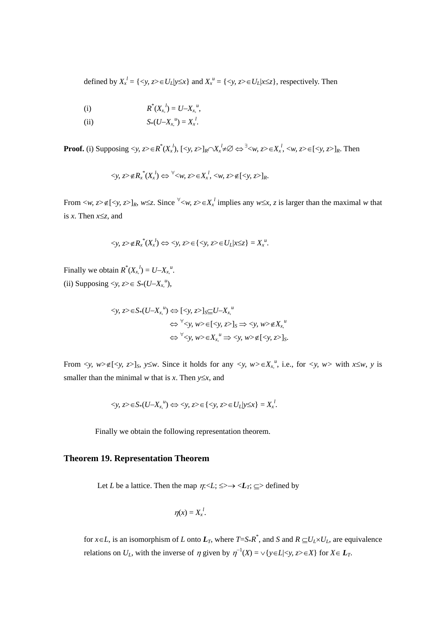defined by  $X_x^l = \{ \langle y, z \rangle \in U_L | y \leq x \}$  and  $X_x^u = \{ \langle y, z \rangle \in U_L | x \leq z \}$ , respectively. Then

(i) 
$$
R^*(X_{x_i}^l) = U - X_{x_i}^u
$$
,

(ii) 
$$
S_*(U-X_{x_*}^u) = X_x^l
$$
.

**Proof.** (i) Supposing  $\lt y$ ,  $z \gt \in R^*(X_x^l)$ ,  $[\lt y, z]_R \cap X_x^l \neq \emptyset \Leftrightarrow \exists \lt w$ ,  $z \gt \in X_x^l$ ,  $\lt w$ ,  $z \gt \in [\lt y, z]_R$ . Then

$$
\langle y, z \rangle \notin R_x^*(X_x^l) \Leftrightarrow \forall \langle w, z \rangle \in X_x^l, \langle w, z \rangle \notin [\langle y, z \rangle]_R.
$$

From  $\langle w, z \rangle \notin [\langle y, z \rangle]_R$ ,  $w \leq z$ . Since  $\forall \langle w, z \rangle \in X_x^l$  implies any  $w \leq x, z$  is larger than the maximal *w* that is *x*. Then *xz*, and

$$
\langle y, z \rangle \notin R_x^*(X_x^l) \Leftrightarrow \langle y, z \rangle \in \{ \langle y, z \rangle \in U_L | x \leq z \} = X_x^u.
$$

Finally we obtain  $R^*(X_x^l) = U - X_x^l$ . (ii) Supposing  $,  $z \geq \epsilon$   $S_*(U-X_{x,\kappa}^u)$ ,$ 

$$
\langle y, z \rangle \in S_*(U - X_x^u) \Leftrightarrow [\langle y, z \rangle]_S \subseteq U - X_x^u
$$
  

$$
\Leftrightarrow \forall \langle y, w \rangle \in [\langle y, z \rangle]_S \Rightarrow \langle y, w \rangle \notin X_x^u
$$
  

$$
\Leftrightarrow \forall \langle y, w \rangle \in X_x^u \Rightarrow \langle y, w \rangle \notin [\langle y, z \rangle]_S.
$$

From  $\langle y, w \rangle \notin [\langle y, z \rangle]_S$ ,  $y \leq w$ . Since it holds for any  $\langle y, w \rangle \in X_{x, y}^u$ , i.e., for  $\langle y, w \rangle$  with  $x \leq w$ ,  $y$  is smaller than the minimal *w* that is *x*. Then  $y \leq x$ , and

$$
\langle y, z \rangle \in S_*(U - X_x^{\nu}) \Leftrightarrow \langle y, z \rangle \in \{ \langle y, z \rangle \in U_L | y \leq x \} = X_x^{\nu}.
$$

Finally we obtain the following representation theorem.

#### **Theorem 19. Representation Theorem**

Let *L* be a lattice. Then the map  $\eta \ll L$ ;  $\leq \rightarrow \ll L$ <sub>*T*</sub>;  $\subseteq$  defined by

$$
\eta(x)=X_x^{\;l}.
$$

for  $x \in L$ , is an isomorphism of *L* onto  $L_T$ , where  $T = S R^*$ , and *S* and  $R \subseteq U_L \times U_L$ , are equivalence relations on  $U_L$ , with the inverse of  $\eta$  given by  $\eta^{-1}(X) = \vee \{y \in L | \leq y, z \geq \in X\}$  for  $X \in L_T$ .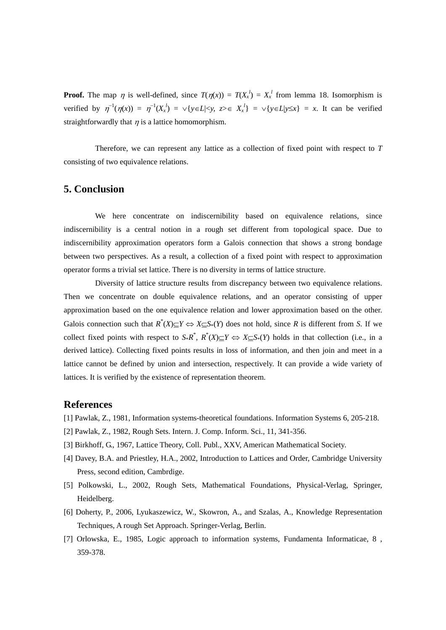**Proof.** The map  $\eta$  is well-defined, since  $T(\eta(x)) = T(X_x^l) = X_x^l$  from lemma 18. Isomorphism is verified by  $\eta^{-1}(\eta(x)) = \eta^{-1}(X_x) = \sqrt{y} \in L | \langle y, z \rangle \in X_x^l$  =  $\sqrt{y} \in L | y \leq x$  = x. It can be verified straightforwardly that  $\eta$  is a lattice homomorphism.

 Therefore, we can represent any lattice as a collection of fixed point with respect to *T* consisting of two equivalence relations.

# **5. Conclusion**

 We here concentrate on indiscernibility based on equivalence relations, since indiscernibility is a central notion in a rough set different from topological space. Due to indiscernibility approximation operators form a Galois connection that shows a strong bondage between two perspectives. As a result, a collection of a fixed point with respect to approximation operator forms a trivial set lattice. There is no diversity in terms of lattice structure.

 Diversity of lattice structure results from discrepancy between two equivalence relations. Then we concentrate on double equivalence relations, and an operator consisting of upper approximation based on the one equivalence relation and lower approximation based on the other. Galois connection such that  $R^*(X) \subseteq Y \Leftrightarrow X \subseteq S^*(Y)$  does not hold, since R is different from *S*. If we collect fixed points with respect to  $S^*R^*$ ,  $R^*(X) \subseteq Y \iff X \subseteq S^*(Y)$  holds in that collection (i.e., in a derived lattice). Collecting fixed points results in loss of information, and then join and meet in a lattice cannot be defined by union and intersection, respectively. It can provide a wide variety of lattices. It is verified by the existence of representation theorem.

# **References**

- [1] Pawlak, Z., 1981, Information systems-theoretical foundations. Information Systems 6, 205-218.
- [2] Pawlak, Z., 1982, Rough Sets. Intern. J. Comp. Inform. Sci., 11, 341-356.
- [3] Birkhoff, G., 1967, Lattice Theory, Coll. Publ., XXV, American Mathematical Society.
- [4] Davey, B.A. and Priestley, H.A., 2002, Introduction to Lattices and Order, Cambridge University Press, second edition, Cambrdige.
- [5] Polkowski, L., 2002, Rough Sets, Mathematical Foundations, Physical-Verlag, Springer, Heidelberg.
- [6] Doherty, P., 2006, Lyukaszewicz, W., Skowron, A., and Szalas, A., Knowledge Representation Techniques, A rough Set Approach. Springer-Verlag, Berlin.
- [7] Orlowska, E., 1985, Logic approach to information systems, Fundamenta Informaticae, 8 , 359-378.